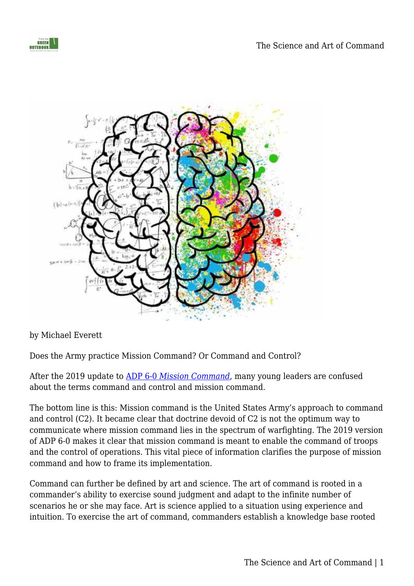



by Michael Everett

Does the Army practice Mission Command? Or Command and Control?

After the 2019 update to [ADP 6-0](https://usacac.army.mil/node/2425) *[Mission Command](https://usacac.army.mil/node/2425)*, many young leaders are confused about the terms command and control and mission command.

The bottom line is this: Mission command is the United States Army's approach to command and control (C2). It became clear that doctrine devoid of C2 is not the optimum way to communicate where mission command lies in the spectrum of warfighting. The 2019 version of ADP 6-0 makes it clear that mission command is meant to enable the command of troops and the control of operations. This vital piece of information clarifies the purpose of mission command and how to frame its implementation.

Command can further be defined by art and science. The art of command is rooted in a commander's ability to exercise sound judgment and adapt to the infinite number of scenarios he or she may face. Art is science applied to a situation using experience and intuition. To exercise the art of command, commanders establish a knowledge base rooted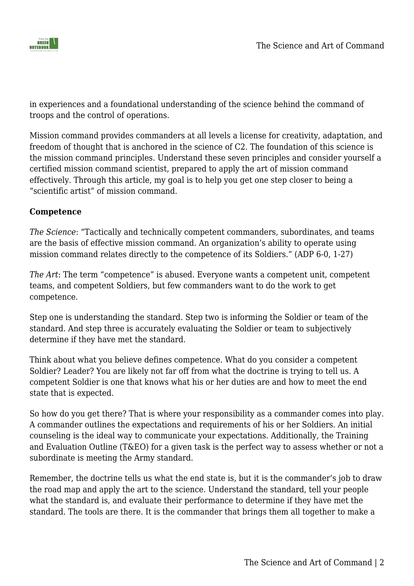

in experiences and a foundational understanding of the science behind the command of troops and the control of operations.

Mission command provides commanders at all levels a license for creativity, adaptation, and freedom of thought that is anchored in the science of C2. The foundation of this science is the mission command principles. Understand these seven principles and consider yourself a certified mission command scientist, prepared to apply the art of mission command effectively. Through this article, my goal is to help you get one step closer to being a "scientific artist" of mission command.

# **Competence**

*The Science*: "Tactically and technically competent commanders, subordinates, and teams are the basis of effective mission command. An organization's ability to operate using mission command relates directly to the competence of its Soldiers." (ADP 6-0, 1-27)

*The Art*: The term "competence" is abused. Everyone wants a competent unit, competent teams, and competent Soldiers, but few commanders want to do the work to get competence.

Step one is understanding the standard. Step two is informing the Soldier or team of the standard. And step three is accurately evaluating the Soldier or team to subjectively determine if they have met the standard.

Think about what you believe defines competence. What do you consider a competent Soldier? Leader? You are likely not far off from what the doctrine is trying to tell us. A competent Soldier is one that knows what his or her duties are and how to meet the end state that is expected.

So how do you get there? That is where your responsibility as a commander comes into play. A commander outlines the expectations and requirements of his or her Soldiers. An initial counseling is the ideal way to communicate your expectations. Additionally, the Training and Evaluation Outline (T&EO) for a given task is the perfect way to assess whether or not a subordinate is meeting the Army standard.

Remember, the doctrine tells us what the end state is, but it is the commander's job to draw the road map and apply the art to the science. Understand the standard, tell your people what the standard is, and evaluate their performance to determine if they have met the standard. The tools are there. It is the commander that brings them all together to make a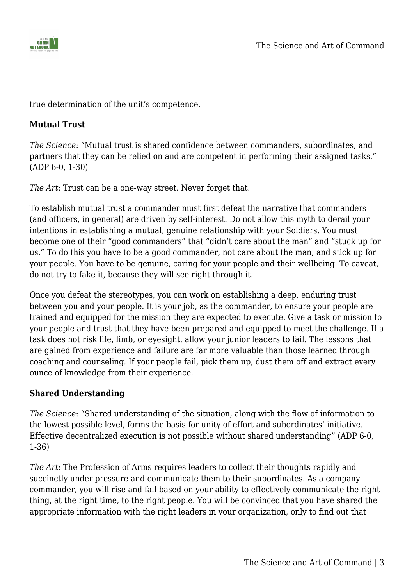

true determination of the unit's competence.

# **Mutual Trust**

*The Science*: "Mutual trust is shared confidence between commanders, subordinates, and partners that they can be relied on and are competent in performing their assigned tasks." (ADP 6-0, 1-30)

*The Art*: Trust can be a one-way street. Never forget that.

To establish mutual trust a commander must first defeat the narrative that commanders (and officers, in general) are driven by self-interest. Do not allow this myth to derail your intentions in establishing a mutual, genuine relationship with your Soldiers. You must become one of their "good commanders" that "didn't care about the man" and "stuck up for us." To do this you have to be a good commander, not care about the man, and stick up for your people. You have to be genuine, caring for your people and their wellbeing. To caveat, do not try to fake it, because they will see right through it.

Once you defeat the stereotypes, you can work on establishing a deep, enduring trust between you and your people. It is your job, as the commander, to ensure your people are trained and equipped for the mission they are expected to execute. Give a task or mission to your people and trust that they have been prepared and equipped to meet the challenge. If a task does not risk life, limb, or eyesight, allow your junior leaders to fail. The lessons that are gained from experience and failure are far more valuable than those learned through coaching and counseling. If your people fail, pick them up, dust them off and extract every ounce of knowledge from their experience.

# **Shared Understanding**

*The Science*: "Shared understanding of the situation, along with the flow of information to the lowest possible level, forms the basis for unity of effort and subordinates' initiative. Effective decentralized execution is not possible without shared understanding" (ADP 6-0, 1-36)

*The Art*: The Profession of Arms requires leaders to collect their thoughts rapidly and succinctly under pressure and communicate them to their subordinates. As a company commander, you will rise and fall based on your ability to effectively communicate the right thing, at the right time, to the right people. You will be convinced that you have shared the appropriate information with the right leaders in your organization, only to find out that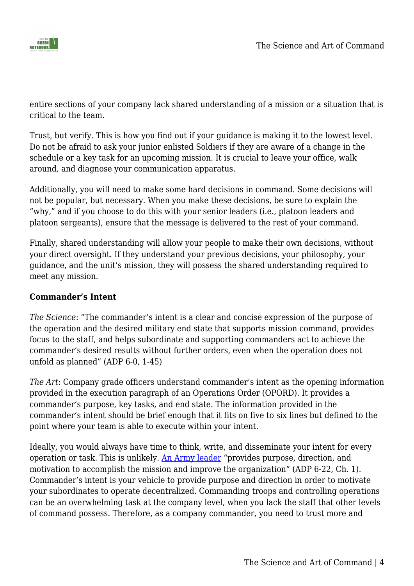

entire sections of your company lack shared understanding of a mission or a situation that is critical to the team.

Trust, but verify. This is how you find out if your guidance is making it to the lowest level. Do not be afraid to ask your junior enlisted Soldiers if they are aware of a change in the schedule or a key task for an upcoming mission. It is crucial to leave your office, walk around, and diagnose your communication apparatus.

Additionally, you will need to make some hard decisions in command. Some decisions will not be popular, but necessary. When you make these decisions, be sure to explain the "why," and if you choose to do this with your senior leaders (i.e., platoon leaders and platoon sergeants), ensure that the message is delivered to the rest of your command.

Finally, shared understanding will allow your people to make their own decisions, without your direct oversight. If they understand your previous decisions, your philosophy, your guidance, and the unit's mission, they will possess the shared understanding required to meet any mission.

# **Commander's Intent**

*The Science*: "The commander's intent is a clear and concise expression of the purpose of the operation and the desired military end state that supports mission command, provides focus to the staff, and helps subordinate and supporting commanders act to achieve the commander's desired results without further orders, even when the operation does not unfold as planned" (ADP 6-0, 1-45)

*The Art*: Company grade officers understand commander's intent as the opening information provided in the execution paragraph of an Operations Order (OPORD). It provides a commander's purpose, key tasks, and end state. The information provided in the commander's intent should be brief enough that it fits on five to six lines but defined to the point where your team is able to execute within your intent.

Ideally, you would always have time to think, write, and disseminate your intent for every operation or task. This is unlikely. [An Army leader](https://armypubs.army.mil/epubs/DR_pubs/DR_a/pdf/web/ARN20039_ADP%206-22%20C1%20FINAL%20WEB.pdf) "provides purpose, direction, and motivation to accomplish the mission and improve the organization" (ADP 6-22, Ch. 1). Commander's intent is your vehicle to provide purpose and direction in order to motivate your subordinates to operate decentralized. Commanding troops and controlling operations can be an overwhelming task at the company level, when you lack the staff that other levels of command possess. Therefore, as a company commander, you need to trust more and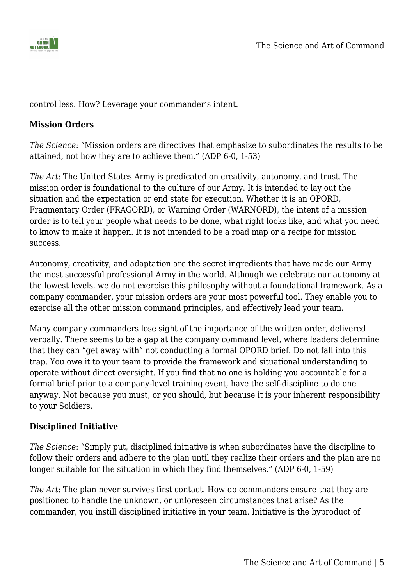

control less. How? Leverage your commander's intent.

#### **Mission Orders**

*The Science*: "Mission orders are directives that emphasize to subordinates the results to be attained, not how they are to achieve them." (ADP 6-0, 1-53)

*The Art*: The United States Army is predicated on creativity, autonomy, and trust. The mission order is foundational to the culture of our Army. It is intended to lay out the situation and the expectation or end state for execution. Whether it is an OPORD, Fragmentary Order (FRAGORD), or Warning Order (WARNORD), the intent of a mission order is to tell your people what needs to be done, what right looks like, and what you need to know to make it happen. It is not intended to be a road map or a recipe for mission success.

Autonomy, creativity, and adaptation are the secret ingredients that have made our Army the most successful professional Army in the world. Although we celebrate our autonomy at the lowest levels, we do not exercise this philosophy without a foundational framework. As a company commander, your mission orders are your most powerful tool. They enable you to exercise all the other mission command principles, and effectively lead your team.

Many company commanders lose sight of the importance of the written order, delivered verbally. There seems to be a gap at the company command level, where leaders determine that they can "get away with" not conducting a formal OPORD brief. Do not fall into this trap. You owe it to your team to provide the framework and situational understanding to operate without direct oversight. If you find that no one is holding you accountable for a formal brief prior to a company-level training event, have the self-discipline to do one anyway. Not because you must, or you should, but because it is your inherent responsibility to your Soldiers.

# **Disciplined Initiative**

*The Science*: "Simply put, disciplined initiative is when subordinates have the discipline to follow their orders and adhere to the plan until they realize their orders and the plan are no longer suitable for the situation in which they find themselves." (ADP 6-0, 1-59)

*The Art*: The plan never survives first contact. How do commanders ensure that they are positioned to handle the unknown, or unforeseen circumstances that arise? As the commander, you instill disciplined initiative in your team. Initiative is the byproduct of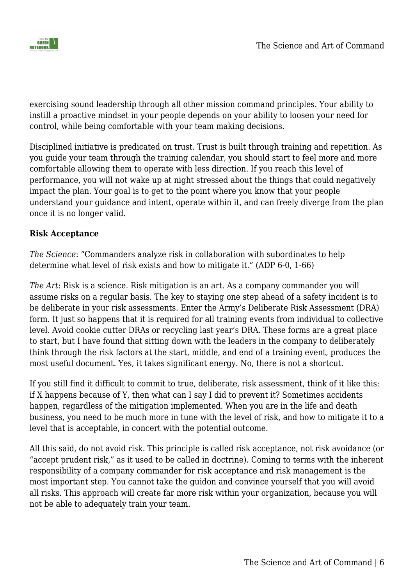

exercising sound leadership through all other mission command principles. Your ability to instill a proactive mindset in your people depends on your ability to loosen your need for control, while being comfortable with your team making decisions.

Disciplined initiative is predicated on trust. Trust is built through training and repetition. As you guide your team through the training calendar, you should start to feel more and more comfortable allowing them to operate with less direction. If you reach this level of performance, you will not wake up at night stressed about the things that could negatively impact the plan. Your goal is to get to the point where you know that your people understand your guidance and intent, operate within it, and can freely diverge from the plan once it is no longer valid.

# **Risk Acceptance**

*The Science*: "Commanders analyze risk in collaboration with subordinates to help determine what level of risk exists and how to mitigate it." (ADP 6-0, 1-66)

*The Art*: Risk is a science. Risk mitigation is an art. As a company commander you will assume risks on a regular basis. The key to staying one step ahead of a safety incident is to be deliberate in your risk assessments. Enter the Army's Deliberate Risk Assessment (DRA) form. It just so happens that it is required for all training events from individual to collective level. Avoid cookie cutter DRAs or recycling last year's DRA. These forms are a great place to start, but I have found that sitting down with the leaders in the company to deliberately think through the risk factors at the start, middle, and end of a training event, produces the most useful document. Yes, it takes significant energy. No, there is not a shortcut.

If you still find it difficult to commit to true, deliberate, risk assessment, think of it like this: if X happens because of Y, then what can I say I did to prevent it? Sometimes accidents happen, regardless of the mitigation implemented. When you are in the life and death business, you need to be much more in tune with the level of risk, and how to mitigate it to a level that is acceptable, in concert with the potential outcome.

All this said, do not avoid risk. This principle is called risk acceptance, not risk avoidance (or "accept prudent risk," as it used to be called in doctrine). Coming to terms with the inherent responsibility of a company commander for risk acceptance and risk management is the most important step. You cannot take the guidon and convince yourself that you will avoid all risks. This approach will create far more risk within your organization, because you will not be able to adequately train your team.